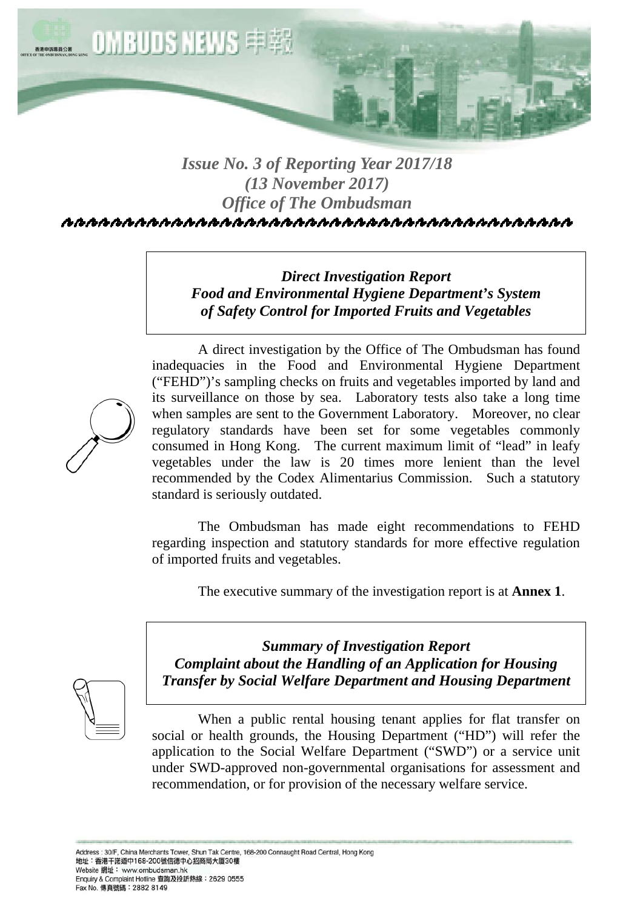

# *Issue No. 3 of Reporting Year 2017/18 (13 November 2017) Office of The Ombudsman*

*Direct Investigation Report Food and Environmental Hygiene Department's System of Safety Control for Imported Fruits and Vegetables* 

 A direct investigation by the Office of The Ombudsman has found inadequacies in the Food and Environmental Hygiene Department ("FEHD")'s sampling checks on fruits and vegetables imported by land and its surveillance on those by sea. Laboratory tests also take a long time when samples are sent to the Government Laboratory. Moreover, no clear regulatory standards have been set for some vegetables commonly consumed in Hong Kong. The current maximum limit of "lead" in leafy vegetables under the law is 20 times more lenient than the level recommended by the Codex Alimentarius Commission. Such a statutory standard is seriously outdated.

 The Ombudsman has made eight recommendations to FEHD regarding inspection and statutory standards for more effective regulation of imported fruits and vegetables.

The executive summary of the investigation report is at **Annex 1**.



*Summary of Investigation Report Complaint about the Handling of an Application for Housing Transfer by Social Welfare Department and Housing Department* 

 When a public rental housing tenant applies for flat transfer on social or health grounds, the Housing Department ("HD") will refer the application to the Social Welfare Department ("SWD") or a service unit under SWD-approved non-governmental organisations for assessment and recommendation, or for provision of the necessary welfare service.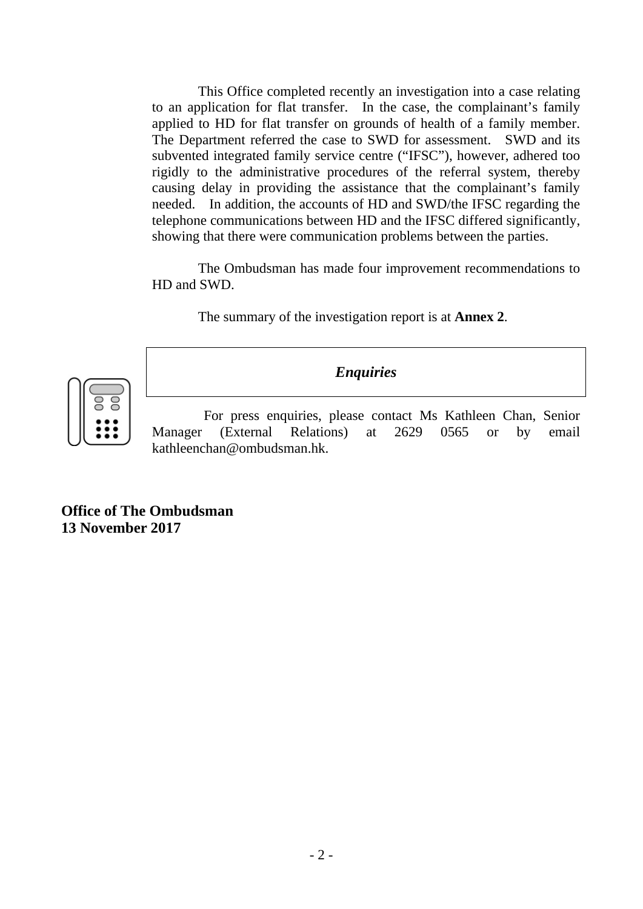This Office completed recently an investigation into a case relating to an application for flat transfer. In the case, the complainant's family applied to HD for flat transfer on grounds of health of a family member. The Department referred the case to SWD for assessment. SWD and its subvented integrated family service centre ("IFSC"), however, adhered too rigidly to the administrative procedures of the referral system, thereby causing delay in providing the assistance that the complainant's family needed. In addition, the accounts of HD and SWD/the IFSC regarding the telephone communications between HD and the IFSC differed significantly, showing that there were communication problems between the parties.

 The Ombudsman has made four improvement recommendations to HD and SWD.

The summary of the investigation report is at **Annex 2**.



*Enquiries* 

 For press enquiries, please contact Ms Kathleen Chan, Senior Manager (External Relations) at 2629 0565 or by email kathleenchan@ombudsman.hk.

**Office of The Ombudsman 13 November 2017**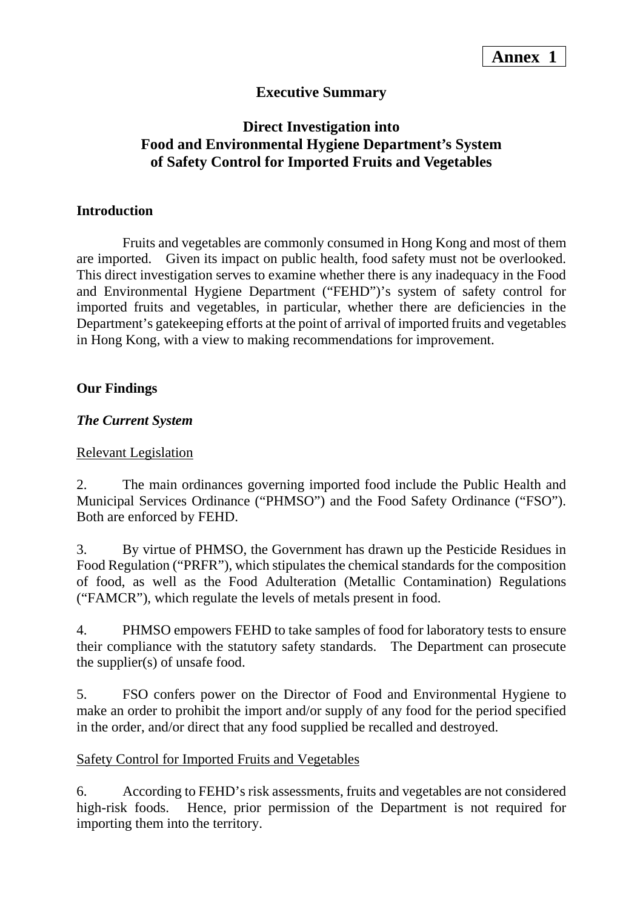## **Executive Summary**

## **Direct Investigation into Food and Environmental Hygiene Department's System of Safety Control for Imported Fruits and Vegetables**

#### **Introduction**

 Fruits and vegetables are commonly consumed in Hong Kong and most of them are imported. Given its impact on public health, food safety must not be overlooked. This direct investigation serves to examine whether there is any inadequacy in the Food and Environmental Hygiene Department ("FEHD")'s system of safety control for imported fruits and vegetables, in particular, whether there are deficiencies in the Department's gatekeeping efforts at the point of arrival of imported fruits and vegetables in Hong Kong, with a view to making recommendations for improvement.

#### **Our Findings**

#### *The Current System*

#### Relevant Legislation

2. The main ordinances governing imported food include the Public Health and Municipal Services Ordinance ("PHMSO") and the Food Safety Ordinance ("FSO"). Both are enforced by FEHD.

3. By virtue of PHMSO, the Government has drawn up the Pesticide Residues in Food Regulation ("PRFR"), which stipulates the chemical standards for the composition of food, as well as the Food Adulteration (Metallic Contamination) Regulations ("FAMCR"), which regulate the levels of metals present in food.

4. PHMSO empowers FEHD to take samples of food for laboratory tests to ensure their compliance with the statutory safety standards. The Department can prosecute the supplier(s) of unsafe food.

5. FSO confers power on the Director of Food and Environmental Hygiene to make an order to prohibit the import and/or supply of any food for the period specified in the order, and/or direct that any food supplied be recalled and destroyed.

#### Safety Control for Imported Fruits and Vegetables

6. According to FEHD's risk assessments, fruits and vegetables are not considered high-risk foods. Hence, prior permission of the Department is not required for importing them into the territory.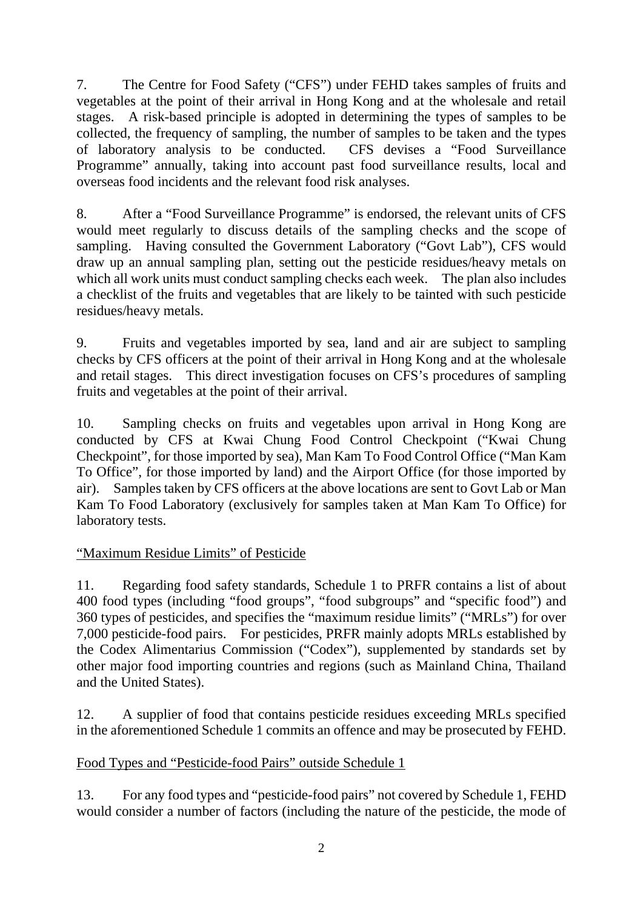7. The Centre for Food Safety ("CFS") under FEHD takes samples of fruits and vegetables at the point of their arrival in Hong Kong and at the wholesale and retail stages. A risk-based principle is adopted in determining the types of samples to be collected, the frequency of sampling, the number of samples to be taken and the types of laboratory analysis to be conducted. CFS devises a "Food Surveillance Programme" annually, taking into account past food surveillance results, local and overseas food incidents and the relevant food risk analyses.

8. After a "Food Surveillance Programme" is endorsed, the relevant units of CFS would meet regularly to discuss details of the sampling checks and the scope of sampling. Having consulted the Government Laboratory ("Govt Lab"), CFS would draw up an annual sampling plan, setting out the pesticide residues/heavy metals on which all work units must conduct sampling checks each week. The plan also includes a checklist of the fruits and vegetables that are likely to be tainted with such pesticide residues/heavy metals.

9. Fruits and vegetables imported by sea, land and air are subject to sampling checks by CFS officers at the point of their arrival in Hong Kong and at the wholesale and retail stages. This direct investigation focuses on CFS's procedures of sampling fruits and vegetables at the point of their arrival.

10. Sampling checks on fruits and vegetables upon arrival in Hong Kong are conducted by CFS at Kwai Chung Food Control Checkpoint ("Kwai Chung Checkpoint", for those imported by sea), Man Kam To Food Control Office ("Man Kam To Office", for those imported by land) and the Airport Office (for those imported by air). Samples taken by CFS officers at the above locations are sent to Govt Lab or Man Kam To Food Laboratory (exclusively for samples taken at Man Kam To Office) for laboratory tests.

## "Maximum Residue Limits" of Pesticide

11. Regarding food safety standards, Schedule 1 to PRFR contains a list of about 400 food types (including "food groups", "food subgroups" and "specific food") and 360 types of pesticides, and specifies the "maximum residue limits" ("MRLs") for over 7,000 pesticide-food pairs. For pesticides, PRFR mainly adopts MRLs established by the Codex Alimentarius Commission ("Codex"), supplemented by standards set by other major food importing countries and regions (such as Mainland China, Thailand and the United States).

12. A supplier of food that contains pesticide residues exceeding MRLs specified in the aforementioned Schedule 1 commits an offence and may be prosecuted by FEHD.

## Food Types and "Pesticide-food Pairs" outside Schedule 1

13. For any food types and "pesticide-food pairs" not covered by Schedule 1, FEHD would consider a number of factors (including the nature of the pesticide, the mode of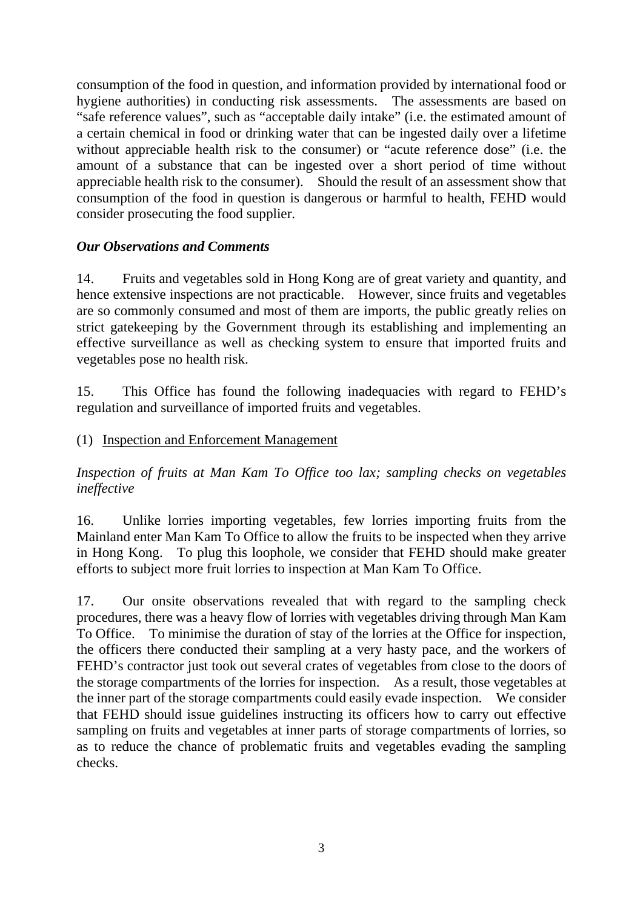consumption of the food in question, and information provided by international food or hygiene authorities) in conducting risk assessments. The assessments are based on "safe reference values", such as "acceptable daily intake" (i.e. the estimated amount of a certain chemical in food or drinking water that can be ingested daily over a lifetime without appreciable health risk to the consumer) or "acute reference dose" (i.e. the amount of a substance that can be ingested over a short period of time without appreciable health risk to the consumer). Should the result of an assessment show that consumption of the food in question is dangerous or harmful to health, FEHD would consider prosecuting the food supplier.

#### *Our Observations and Comments*

14. Fruits and vegetables sold in Hong Kong are of great variety and quantity, and hence extensive inspections are not practicable. However, since fruits and vegetables are so commonly consumed and most of them are imports, the public greatly relies on strict gatekeeping by the Government through its establishing and implementing an effective surveillance as well as checking system to ensure that imported fruits and vegetables pose no health risk.

15. This Office has found the following inadequacies with regard to FEHD's regulation and surveillance of imported fruits and vegetables.

### (1) Inspection and Enforcement Management

*Inspection of fruits at Man Kam To Office too lax; sampling checks on vegetables ineffective* 

16. Unlike lorries importing vegetables, few lorries importing fruits from the Mainland enter Man Kam To Office to allow the fruits to be inspected when they arrive in Hong Kong. To plug this loophole, we consider that FEHD should make greater efforts to subject more fruit lorries to inspection at Man Kam To Office.

17. Our onsite observations revealed that with regard to the sampling check procedures, there was a heavy flow of lorries with vegetables driving through Man Kam To Office. To minimise the duration of stay of the lorries at the Office for inspection, the officers there conducted their sampling at a very hasty pace, and the workers of FEHD's contractor just took out several crates of vegetables from close to the doors of the storage compartments of the lorries for inspection. As a result, those vegetables at the inner part of the storage compartments could easily evade inspection. We consider that FEHD should issue guidelines instructing its officers how to carry out effective sampling on fruits and vegetables at inner parts of storage compartments of lorries, so as to reduce the chance of problematic fruits and vegetables evading the sampling checks.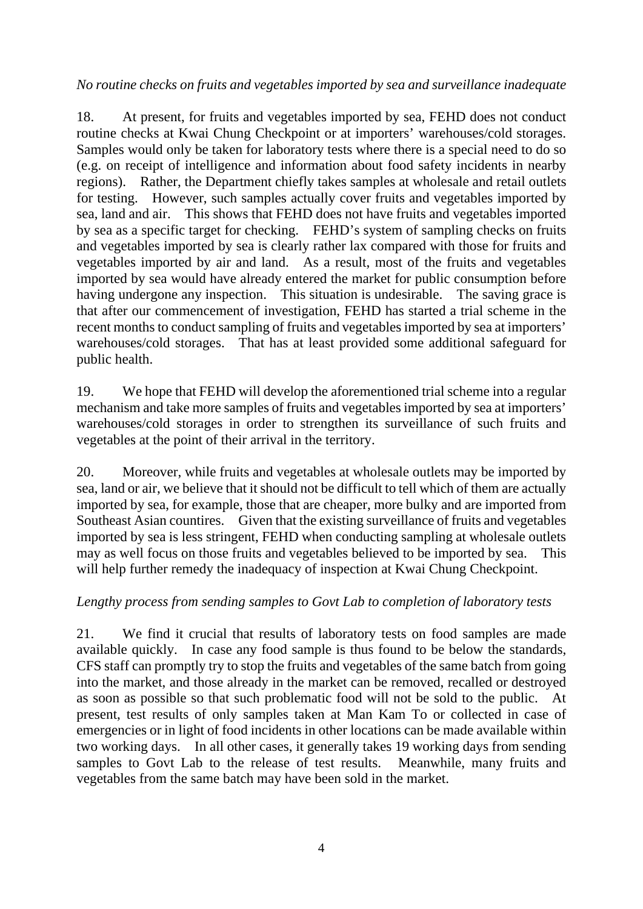#### *No routine checks on fruits and vegetables imported by sea and surveillance inadequate*

18. At present, for fruits and vegetables imported by sea, FEHD does not conduct routine checks at Kwai Chung Checkpoint or at importers' warehouses/cold storages. Samples would only be taken for laboratory tests where there is a special need to do so (e.g. on receipt of intelligence and information about food safety incidents in nearby regions). Rather, the Department chiefly takes samples at wholesale and retail outlets for testing. However, such samples actually cover fruits and vegetables imported by sea, land and air. This shows that FEHD does not have fruits and vegetables imported by sea as a specific target for checking. FEHD's system of sampling checks on fruits and vegetables imported by sea is clearly rather lax compared with those for fruits and vegetables imported by air and land. As a result, most of the fruits and vegetables imported by sea would have already entered the market for public consumption before having undergone any inspection. This situation is undesirable. The saving grace is that after our commencement of investigation, FEHD has started a trial scheme in the recent months to conduct sampling of fruits and vegetables imported by sea at importers' warehouses/cold storages. That has at least provided some additional safeguard for public health.

19. We hope that FEHD will develop the aforementioned trial scheme into a regular mechanism and take more samples of fruits and vegetables imported by sea at importers' warehouses/cold storages in order to strengthen its surveillance of such fruits and vegetables at the point of their arrival in the territory.

20. Moreover, while fruits and vegetables at wholesale outlets may be imported by sea, land or air, we believe that it should not be difficult to tell which of them are actually imported by sea, for example, those that are cheaper, more bulky and are imported from Southeast Asian countires. Given that the existing surveillance of fruits and vegetables imported by sea is less stringent, FEHD when conducting sampling at wholesale outlets may as well focus on those fruits and vegetables believed to be imported by sea. This will help further remedy the inadequacy of inspection at Kwai Chung Checkpoint.

## *Lengthy process from sending samples to Govt Lab to completion of laboratory tests*

21. We find it crucial that results of laboratory tests on food samples are made available quickly. In case any food sample is thus found to be below the standards, CFS staff can promptly try to stop the fruits and vegetables of the same batch from going into the market, and those already in the market can be removed, recalled or destroyed as soon as possible so that such problematic food will not be sold to the public. At present, test results of only samples taken at Man Kam To or collected in case of emergencies or in light of food incidents in other locations can be made available within two working days. In all other cases, it generally takes 19 working days from sending samples to Govt Lab to the release of test results. Meanwhile, many fruits and vegetables from the same batch may have been sold in the market.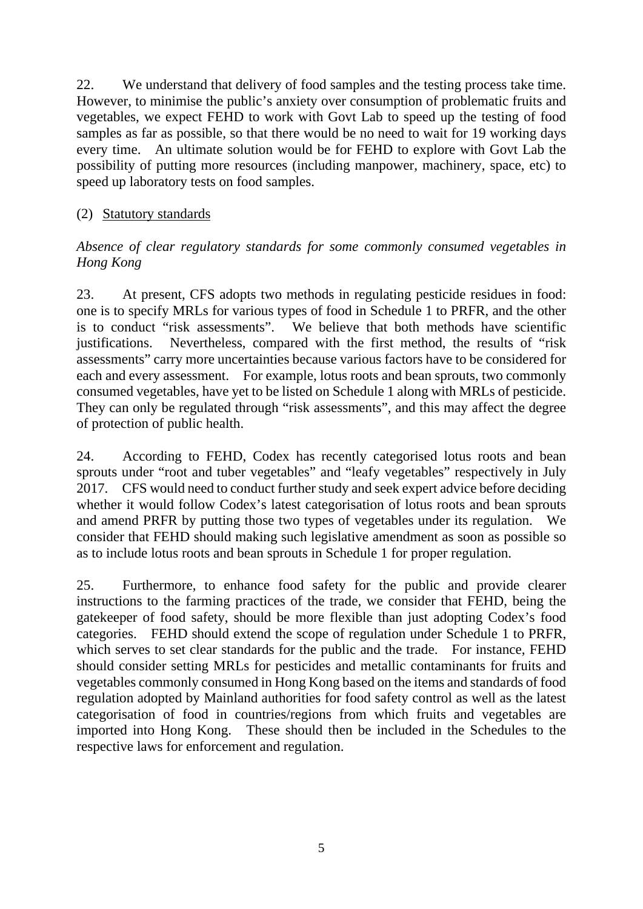22. We understand that delivery of food samples and the testing process take time. However, to minimise the public's anxiety over consumption of problematic fruits and vegetables, we expect FEHD to work with Govt Lab to speed up the testing of food samples as far as possible, so that there would be no need to wait for 19 working days every time. An ultimate solution would be for FEHD to explore with Govt Lab the possibility of putting more resources (including manpower, machinery, space, etc) to speed up laboratory tests on food samples.

### (2) Statutory standards

#### *Absence of clear regulatory standards for some commonly consumed vegetables in Hong Kong*

23. At present, CFS adopts two methods in regulating pesticide residues in food: one is to specify MRLs for various types of food in Schedule 1 to PRFR, and the other is to conduct "risk assessments". We believe that both methods have scientific justifications. Nevertheless, compared with the first method, the results of "risk assessments" carry more uncertainties because various factors have to be considered for each and every assessment. For example, lotus roots and bean sprouts, two commonly consumed vegetables, have yet to be listed on Schedule 1 along with MRLs of pesticide. They can only be regulated through "risk assessments", and this may affect the degree of protection of public health.

24. According to FEHD, Codex has recently categorised lotus roots and bean sprouts under "root and tuber vegetables" and "leafy vegetables" respectively in July 2017. CFS would need to conduct further study and seek expert advice before deciding whether it would follow Codex's latest categorisation of lotus roots and bean sprouts and amend PRFR by putting those two types of vegetables under its regulation. We consider that FEHD should making such legislative amendment as soon as possible so as to include lotus roots and bean sprouts in Schedule 1 for proper regulation.

25. Furthermore, to enhance food safety for the public and provide clearer instructions to the farming practices of the trade, we consider that FEHD, being the gatekeeper of food safety, should be more flexible than just adopting Codex's food categories. FEHD should extend the scope of regulation under Schedule 1 to PRFR, which serves to set clear standards for the public and the trade. For instance, FEHD should consider setting MRLs for pesticides and metallic contaminants for fruits and vegetables commonly consumed in Hong Kong based on the items and standards of food regulation adopted by Mainland authorities for food safety control as well as the latest categorisation of food in countries/regions from which fruits and vegetables are imported into Hong Kong. These should then be included in the Schedules to the respective laws for enforcement and regulation.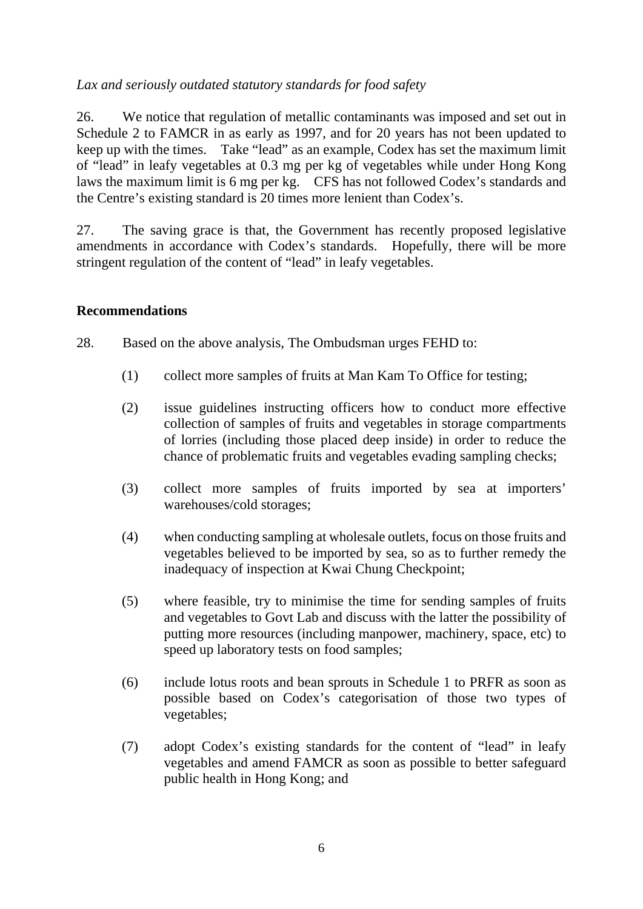### *Lax and seriously outdated statutory standards for food safety*

26. We notice that regulation of metallic contaminants was imposed and set out in Schedule 2 to FAMCR in as early as 1997, and for 20 years has not been updated to keep up with the times. Take "lead" as an example, Codex has set the maximum limit of "lead" in leafy vegetables at 0.3 mg per kg of vegetables while under Hong Kong laws the maximum limit is 6 mg per kg. CFS has not followed Codex's standards and the Centre's existing standard is 20 times more lenient than Codex's.

27. The saving grace is that, the Government has recently proposed legislative amendments in accordance with Codex's standards. Hopefully, there will be more stringent regulation of the content of "lead" in leafy vegetables.

#### **Recommendations**

- 28. Based on the above analysis, The Ombudsman urges FEHD to:
	- (1) collect more samples of fruits at Man Kam To Office for testing;
	- (2) issue guidelines instructing officers how to conduct more effective collection of samples of fruits and vegetables in storage compartments of lorries (including those placed deep inside) in order to reduce the chance of problematic fruits and vegetables evading sampling checks;
	- (3) collect more samples of fruits imported by sea at importers' warehouses/cold storages;
	- (4) when conducting sampling at wholesale outlets, focus on those fruits and vegetables believed to be imported by sea, so as to further remedy the inadequacy of inspection at Kwai Chung Checkpoint;
	- (5) where feasible, try to minimise the time for sending samples of fruits and vegetables to Govt Lab and discuss with the latter the possibility of putting more resources (including manpower, machinery, space, etc) to speed up laboratory tests on food samples;
	- (6) include lotus roots and bean sprouts in Schedule 1 to PRFR as soon as possible based on Codex's categorisation of those two types of vegetables;
	- (7) adopt Codex's existing standards for the content of "lead" in leafy vegetables and amend FAMCR as soon as possible to better safeguard public health in Hong Kong; and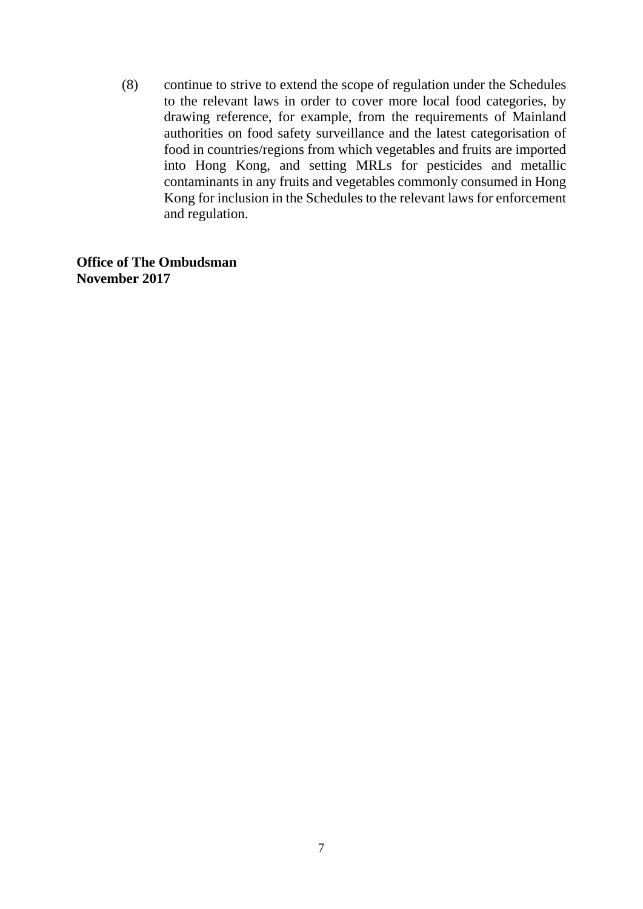(8) continue to strive to extend the scope of regulation under the Schedules to the relevant laws in order to cover more local food categories, by drawing reference, for example, from the requirements of Mainland authorities on food safety surveillance and the latest categorisation of food in countries/regions from which vegetables and fruits are imported into Hong Kong, and setting MRLs for pesticides and metallic contaminants in any fruits and vegetables commonly consumed in Hong Kong for inclusion in the Schedules to the relevant laws for enforcement and regulation.

**Office of The Ombudsman November 2017**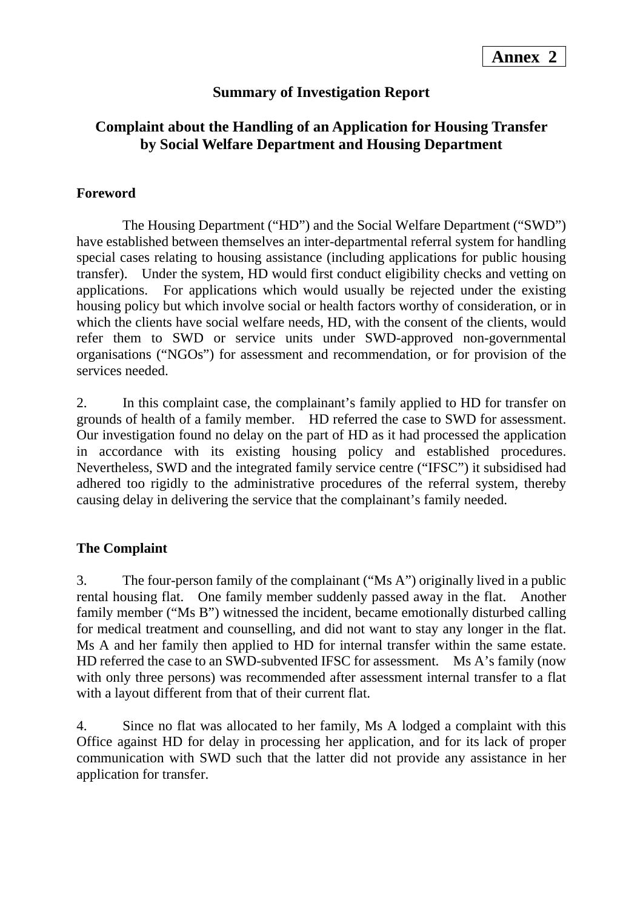## **Summary of Investigation Report**

## **Complaint about the Handling of an Application for Housing Transfer by Social Welfare Department and Housing Department**

#### **Foreword**

 The Housing Department ("HD") and the Social Welfare Department ("SWD") have established between themselves an inter-departmental referral system for handling special cases relating to housing assistance (including applications for public housing transfer). Under the system, HD would first conduct eligibility checks and vetting on applications. For applications which would usually be rejected under the existing housing policy but which involve social or health factors worthy of consideration, or in which the clients have social welfare needs, HD, with the consent of the clients, would refer them to SWD or service units under SWD-approved non-governmental organisations ("NGOs") for assessment and recommendation, or for provision of the services needed.

2. In this complaint case, the complainant's family applied to HD for transfer on grounds of health of a family member. HD referred the case to SWD for assessment. Our investigation found no delay on the part of HD as it had processed the application in accordance with its existing housing policy and established procedures. Nevertheless, SWD and the integrated family service centre ("IFSC") it subsidised had adhered too rigidly to the administrative procedures of the referral system, thereby causing delay in delivering the service that the complainant's family needed.

## **The Complaint**

3. The four-person family of the complainant ("Ms A") originally lived in a public rental housing flat. One family member suddenly passed away in the flat. Another family member ("Ms B") witnessed the incident, became emotionally disturbed calling for medical treatment and counselling, and did not want to stay any longer in the flat. Ms A and her family then applied to HD for internal transfer within the same estate. HD referred the case to an SWD-subvented IFSC for assessment. Ms A's family (now with only three persons) was recommended after assessment internal transfer to a flat with a layout different from that of their current flat.

4. Since no flat was allocated to her family, Ms A lodged a complaint with this Office against HD for delay in processing her application, and for its lack of proper communication with SWD such that the latter did not provide any assistance in her application for transfer.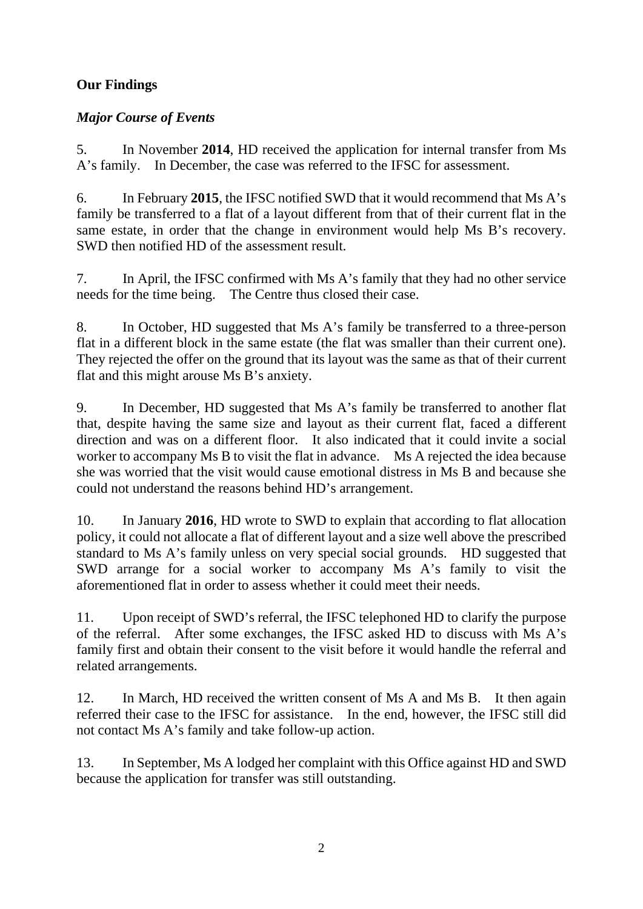## **Our Findings**

## *Major Course of Events*

5. In November **2014**, HD received the application for internal transfer from Ms A's family. In December, the case was referred to the IFSC for assessment.

6. In February **2015**, the IFSC notified SWD that it would recommend that Ms A's family be transferred to a flat of a layout different from that of their current flat in the same estate, in order that the change in environment would help Ms B's recovery. SWD then notified HD of the assessment result.

7. In April, the IFSC confirmed with Ms A's family that they had no other service needs for the time being. The Centre thus closed their case.

8. In October, HD suggested that Ms A's family be transferred to a three-person flat in a different block in the same estate (the flat was smaller than their current one). They rejected the offer on the ground that its layout was the same as that of their current flat and this might arouse Ms B's anxiety.

9. In December, HD suggested that Ms A's family be transferred to another flat that, despite having the same size and layout as their current flat, faced a different direction and was on a different floor. It also indicated that it could invite a social worker to accompany Ms B to visit the flat in advance. Ms A rejected the idea because she was worried that the visit would cause emotional distress in Ms B and because she could not understand the reasons behind HD's arrangement.

10. In January **2016**, HD wrote to SWD to explain that according to flat allocation policy, it could not allocate a flat of different layout and a size well above the prescribed standard to Ms A's family unless on very special social grounds. HD suggested that SWD arrange for a social worker to accompany Ms A's family to visit the aforementioned flat in order to assess whether it could meet their needs.

11. Upon receipt of SWD's referral, the IFSC telephoned HD to clarify the purpose of the referral. After some exchanges, the IFSC asked HD to discuss with Ms A's family first and obtain their consent to the visit before it would handle the referral and related arrangements.

12. In March, HD received the written consent of Ms A and Ms B. It then again referred their case to the IFSC for assistance. In the end, however, the IFSC still did not contact Ms A's family and take follow-up action.

13. In September, Ms A lodged her complaint with this Office against HD and SWD because the application for transfer was still outstanding.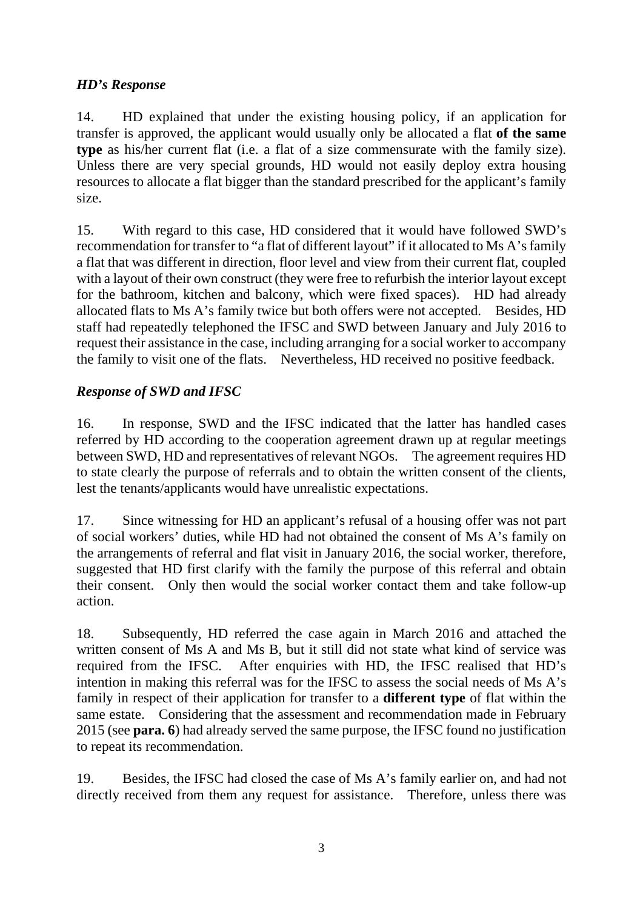### *HD's Response*

14. HD explained that under the existing housing policy, if an application for transfer is approved, the applicant would usually only be allocated a flat **of the same type** as his/her current flat (i.e. a flat of a size commensurate with the family size). Unless there are very special grounds, HD would not easily deploy extra housing resources to allocate a flat bigger than the standard prescribed for the applicant's family size.

15. With regard to this case, HD considered that it would have followed SWD's recommendation for transfer to "a flat of different layout" if it allocated to Ms A's family a flat that was different in direction, floor level and view from their current flat, coupled with a layout of their own construct (they were free to refurbish the interior layout except for the bathroom, kitchen and balcony, which were fixed spaces). HD had already allocated flats to Ms A's family twice but both offers were not accepted. Besides, HD staff had repeatedly telephoned the IFSC and SWD between January and July 2016 to request their assistance in the case, including arranging for a social worker to accompany the family to visit one of the flats. Nevertheless, HD received no positive feedback.

## *Response of SWD and IFSC*

16. In response, SWD and the IFSC indicated that the latter has handled cases referred by HD according to the cooperation agreement drawn up at regular meetings between SWD, HD and representatives of relevant NGOs. The agreement requires HD to state clearly the purpose of referrals and to obtain the written consent of the clients, lest the tenants/applicants would have unrealistic expectations.

17. Since witnessing for HD an applicant's refusal of a housing offer was not part of social workers' duties, while HD had not obtained the consent of Ms A's family on the arrangements of referral and flat visit in January 2016, the social worker, therefore, suggested that HD first clarify with the family the purpose of this referral and obtain their consent. Only then would the social worker contact them and take follow-up action.

18. Subsequently, HD referred the case again in March 2016 and attached the written consent of Ms A and Ms B, but it still did not state what kind of service was required from the IFSC. After enquiries with HD, the IFSC realised that HD's intention in making this referral was for the IFSC to assess the social needs of Ms A's family in respect of their application for transfer to a **different type** of flat within the same estate. Considering that the assessment and recommendation made in February 2015 (see **para. 6**) had already served the same purpose, the IFSC found no justification to repeat its recommendation.

19. Besides, the IFSC had closed the case of Ms A's family earlier on, and had not directly received from them any request for assistance. Therefore, unless there was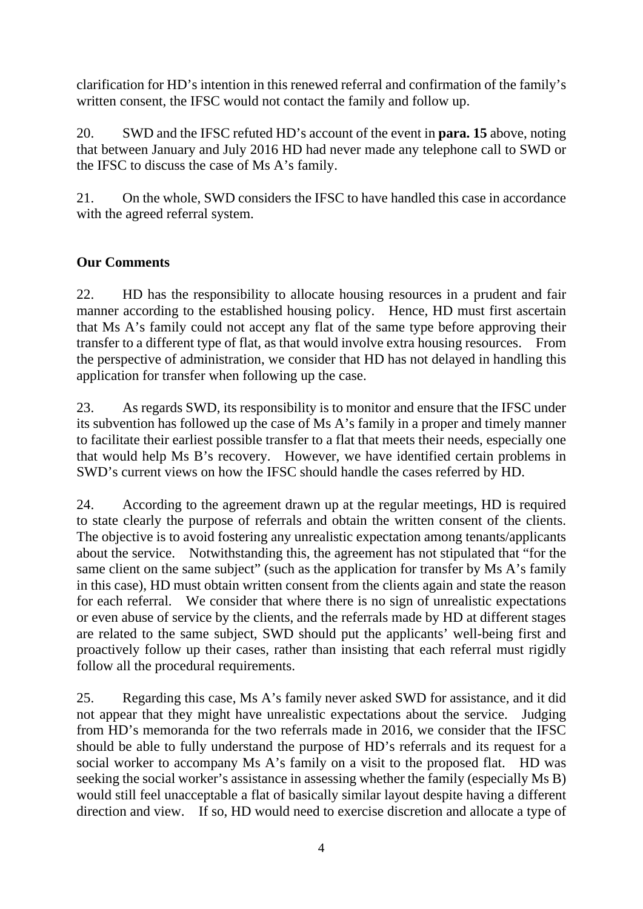clarification for HD's intention in this renewed referral and confirmation of the family's written consent, the IFSC would not contact the family and follow up.

20. SWD and the IFSC refuted HD's account of the event in **para. 15** above, noting that between January and July 2016 HD had never made any telephone call to SWD or the IFSC to discuss the case of Ms A's family.

21. On the whole, SWD considers the IFSC to have handled this case in accordance with the agreed referral system.

## **Our Comments**

22. HD has the responsibility to allocate housing resources in a prudent and fair manner according to the established housing policy. Hence, HD must first ascertain that Ms A's family could not accept any flat of the same type before approving their transfer to a different type of flat, as that would involve extra housing resources. From the perspective of administration, we consider that HD has not delayed in handling this application for transfer when following up the case.

23. As regards SWD, its responsibility is to monitor and ensure that the IFSC under its subvention has followed up the case of Ms A's family in a proper and timely manner to facilitate their earliest possible transfer to a flat that meets their needs, especially one that would help Ms B's recovery. However, we have identified certain problems in SWD's current views on how the IFSC should handle the cases referred by HD.

24. According to the agreement drawn up at the regular meetings, HD is required to state clearly the purpose of referrals and obtain the written consent of the clients. The objective is to avoid fostering any unrealistic expectation among tenants/applicants about the service. Notwithstanding this, the agreement has not stipulated that "for the same client on the same subject" (such as the application for transfer by Ms A's family in this case), HD must obtain written consent from the clients again and state the reason for each referral. We consider that where there is no sign of unrealistic expectations or even abuse of service by the clients, and the referrals made by HD at different stages are related to the same subject, SWD should put the applicants' well-being first and proactively follow up their cases, rather than insisting that each referral must rigidly follow all the procedural requirements.

25. Regarding this case, Ms A's family never asked SWD for assistance, and it did not appear that they might have unrealistic expectations about the service. Judging from HD's memoranda for the two referrals made in 2016, we consider that the IFSC should be able to fully understand the purpose of HD's referrals and its request for a social worker to accompany Ms A's family on a visit to the proposed flat. HD was seeking the social worker's assistance in assessing whether the family (especially Ms B) would still feel unacceptable a flat of basically similar layout despite having a different direction and view. If so, HD would need to exercise discretion and allocate a type of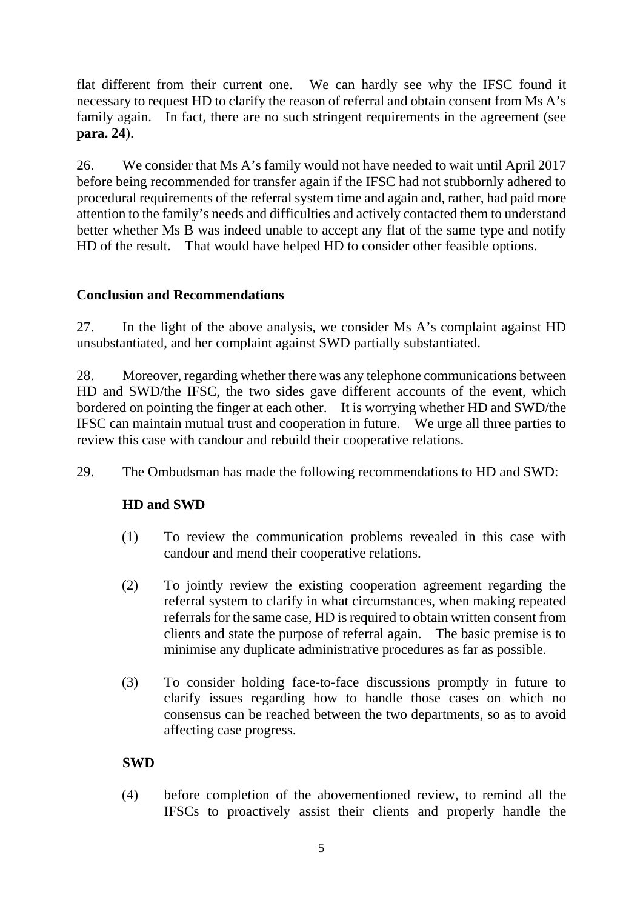flat different from their current one. We can hardly see why the IFSC found it necessary to request HD to clarify the reason of referral and obtain consent from Ms A's family again. In fact, there are no such stringent requirements in the agreement (see **para. 24**).

26. We consider that Ms A's family would not have needed to wait until April 2017 before being recommended for transfer again if the IFSC had not stubbornly adhered to procedural requirements of the referral system time and again and, rather, had paid more attention to the family's needs and difficulties and actively contacted them to understand better whether Ms B was indeed unable to accept any flat of the same type and notify HD of the result. That would have helped HD to consider other feasible options.

### **Conclusion and Recommendations**

27. In the light of the above analysis, we consider Ms A's complaint against HD unsubstantiated, and her complaint against SWD partially substantiated.

28. Moreover, regarding whether there was any telephone communications between HD and SWD/the IFSC, the two sides gave different accounts of the event, which bordered on pointing the finger at each other. It is worrying whether HD and SWD/the IFSC can maintain mutual trust and cooperation in future. We urge all three parties to review this case with candour and rebuild their cooperative relations.

29. The Ombudsman has made the following recommendations to HD and SWD:

## **HD and SWD**

- (1) To review the communication problems revealed in this case with candour and mend their cooperative relations.
- (2) To jointly review the existing cooperation agreement regarding the referral system to clarify in what circumstances, when making repeated referrals for the same case, HD is required to obtain written consent from clients and state the purpose of referral again. The basic premise is to minimise any duplicate administrative procedures as far as possible.
- (3) To consider holding face-to-face discussions promptly in future to clarify issues regarding how to handle those cases on which no consensus can be reached between the two departments, so as to avoid affecting case progress.

## **SWD**

(4) before completion of the abovementioned review, to remind all the IFSCs to proactively assist their clients and properly handle the